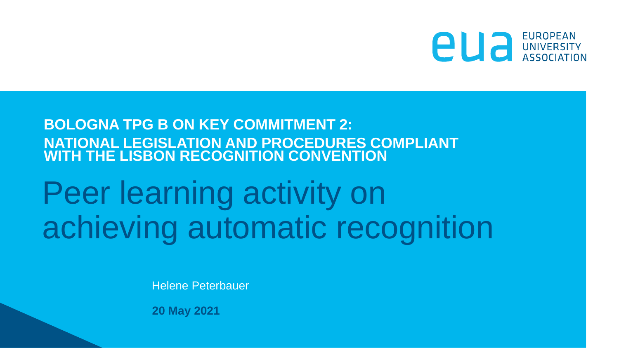

### **BOLOGNA TPG B ON KEY COMMITMENT 2: NATIONAL LEGISLATION AND PROCEDURES COMPLIANT WITH THE LISBON RECOGNITION CONVENTION**

# Peer learning activity on achieving automatic recognition

Helene Peterbauer

**20 May 2021**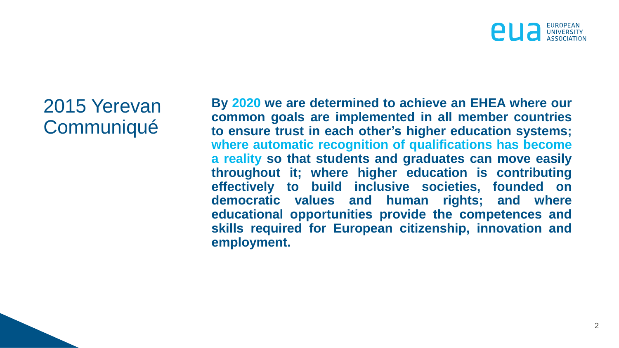## 2015 Yerevan **Communiqué**

**By 2020 we are determined to achieve an EHEA where our common goals are implemented in all member countries to ensure trust in each other's higher education systems; where automatic recognition of qualifications has become a reality so that students and graduates can move easily throughout it; where higher education is contributing effectively to build inclusive societies, founded on democratic values and human rights; and where educational opportunities provide the competences and skills required for European citizenship, innovation and employment.**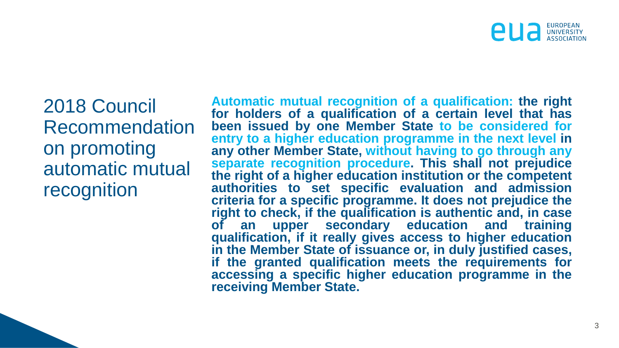2018 Council Recommendation on promoting automatic mutual recognition

**Automatic mutual recognition of a qualification: the right for holders of a qualification of a certain level that has been issued by one Member State to be considered for entry to a higher education programme in the next level in any other Member State, without having to go through any separate recognition procedure. This shall not prejudice the right of a higher education institution or the competent authorities to set specific evaluation and admission criteria for a specific programme. It does not prejudice the right to check, if the qualification is authentic and, in case of an upper secondary education and training qualification, if it really gives access to higher education in the Member State of issuance or, in duly justified cases, if the granted qualification meets the requirements for accessing a specific higher education programme in the receiving Member State.**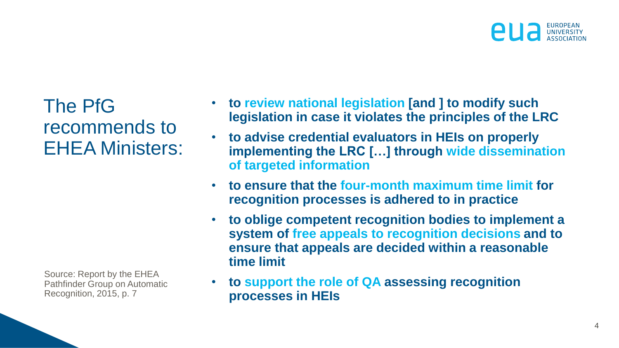

The PfG recommends to EHEA Ministers:

Source: Report by the EHEA Pathfinder Group on Automatic Recognition, 2015, p. 7

- **to review national legislation [and ] to modify such legislation in case it violates the principles of the LRC**
- **to advise credential evaluators in HEIs on properly implementing the LRC […] through wide dissemination of targeted information**
- **to ensure that the four-month maximum time limit for recognition processes is adhered to in practice**
- **to oblige competent recognition bodies to implement a system of free appeals to recognition decisions and to ensure that appeals are decided within a reasonable time limit**
- **to support the role of QA assessing recognition processes in HEIs**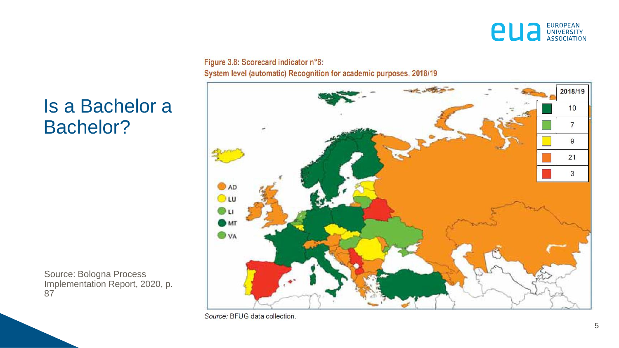

### Is a Bachelor a Bachelor?

Source: Bologna Process Implementation Report, 2020, p. 87

Figure 3.8: Scorecard indicator n°8: System level (automatic) Recognition for academic purposes, 2018/19



Source: BFUG data collection.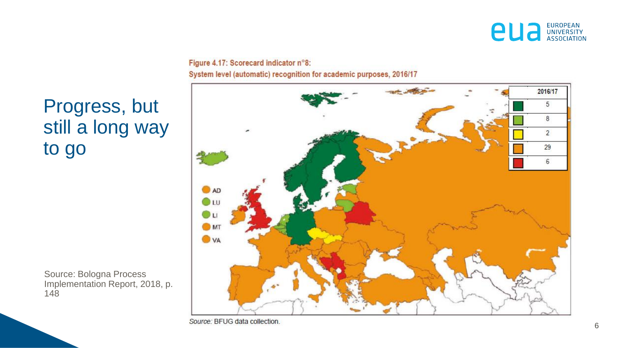

Figure 4.17: Scorecard indicator n°8: System level (automatic) recognition for academic purposes, 2016/17



Progress, but still a long way to go

Source: Bologna Process Implementation Report, 2018, p. 148

Source: BFUG data collection.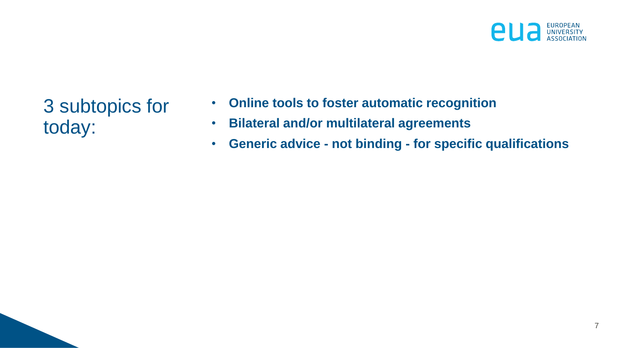

3 subtopics for today:

- **Online tools to foster automatic recognition**
- **Bilateral and/or multilateral agreements**
- **Generic advice - not binding - for specific qualifications**